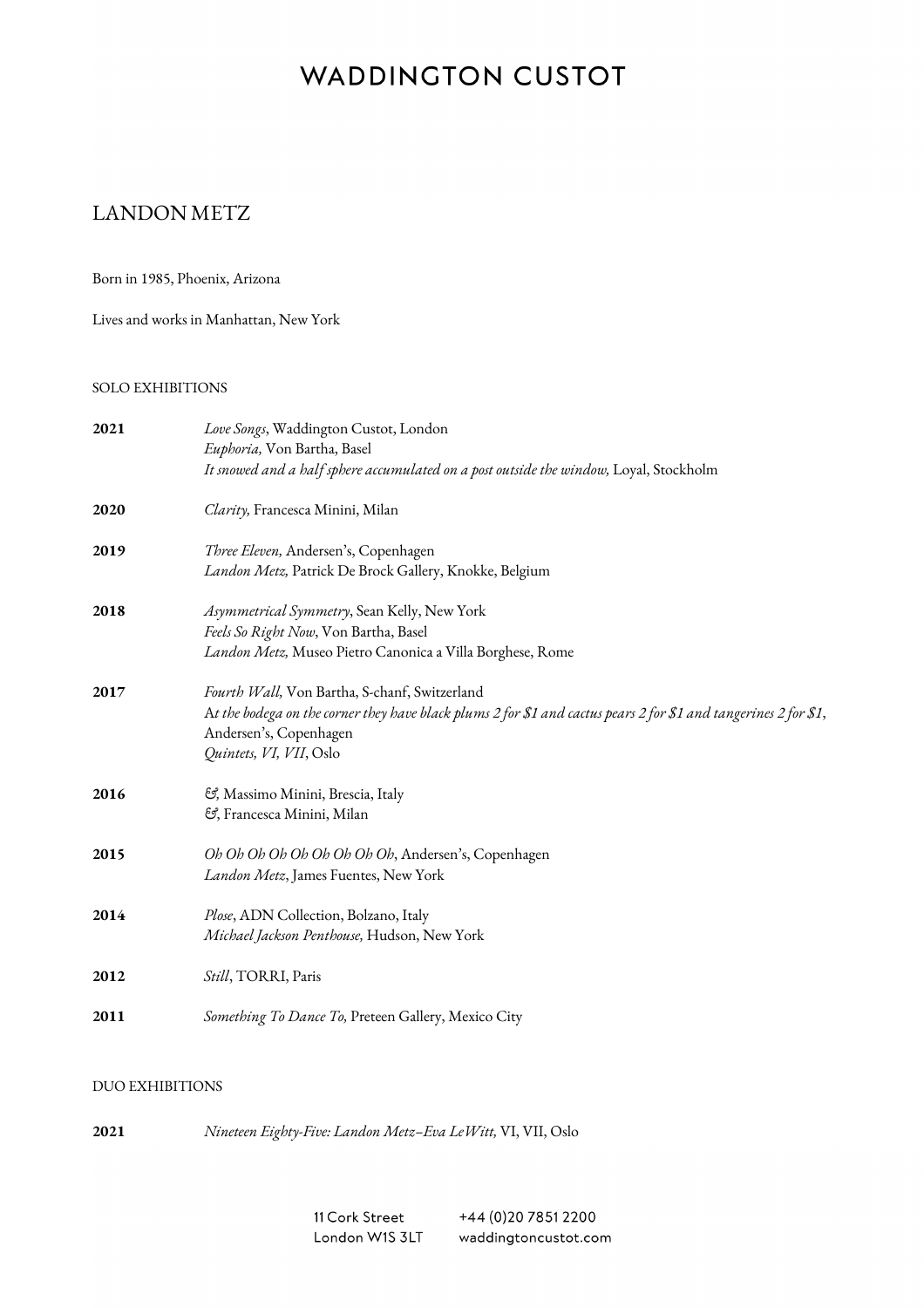# **WADDINGTON CUSTOT**

# LANDON METZ

Born in 1985, Phoenix, Arizona

Lives and works in Manhattan, New York

#### SOLO EXHIBITIONS

| 2021 | Love Songs, Waddington Custot, London<br>Euphoria, Von Bartha, Basel<br>It snowed and a half sphere accumulated on a post outside the window, Loyal, Stockholm                                                         |
|------|------------------------------------------------------------------------------------------------------------------------------------------------------------------------------------------------------------------------|
| 2020 | Clarity, Francesca Minini, Milan                                                                                                                                                                                       |
| 2019 | Three Eleven, Andersen's, Copenhagen<br>Landon Metz, Patrick De Brock Gallery, Knokke, Belgium                                                                                                                         |
| 2018 | Asymmetrical Symmetry, Sean Kelly, New York<br>Feels So Right Now, Von Bartha, Basel<br>Landon Metz, Museo Pietro Canonica a Villa Borghese, Rome                                                                      |
| 2017 | Fourth Wall, Von Bartha, S-chanf, Switzerland<br>At the bodega on the corner they have black plums 2 for \$1 and cactus pears 2 for \$1 and tangerines 2 for \$1,<br>Andersen's, Copenhagen<br>Quintets, VI, VII, Oslo |
| 2016 | ලි, Massimo Minini, Brescia, Italy<br>පි, Francesca Minini, Milan                                                                                                                                                      |
| 2015 | Oh Oh Oh Oh Oh Oh Oh Oh Oh, Andersen's, Copenhagen<br>Landon Metz, James Fuentes, New York                                                                                                                             |
| 2014 | Plose, ADN Collection, Bolzano, Italy<br>Michael Jackson Penthouse, Hudson, New York                                                                                                                                   |
| 2012 | Still, TORRI, Paris                                                                                                                                                                                                    |
| 2011 | Something To Dance To, Preteen Gallery, Mexico City                                                                                                                                                                    |

### DUO EXHIBITIONS

**2021** *Nineteen Eighty-Five: Landon Metz–Eva LeWitt,* VI, VII, Oslo

11 Cork Street +44 (0) 20 7851 2200 London W1S 3LT waddingtoncustot.com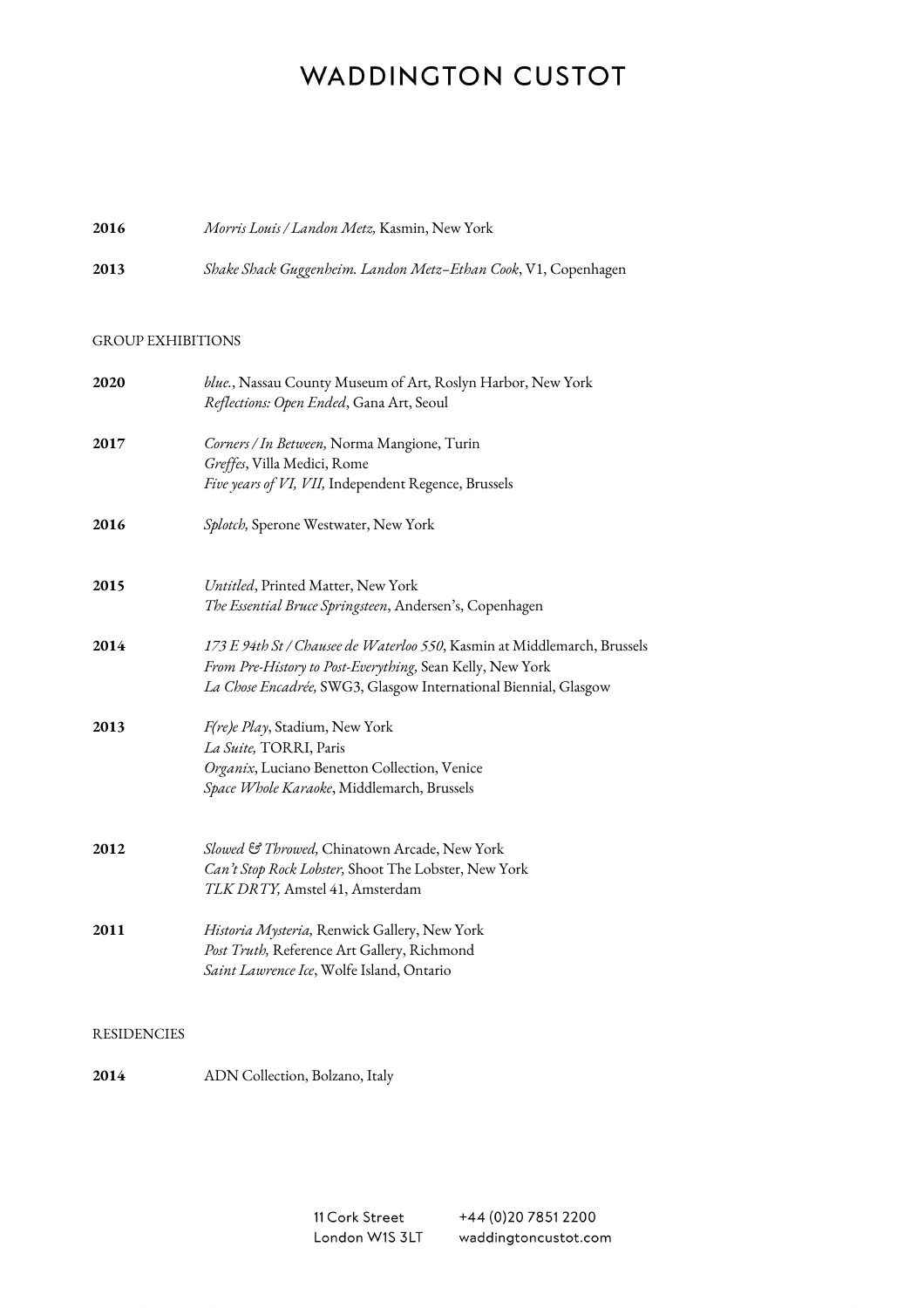# **WADDINGTON CUSTOT**

## **2016** *Morris Louis / Landon Metz,* Kasmin, New York

**2013** *Shake Shack Guggenheim. Landon Metz–Ethan Cook*, V1, Copenhagen

#### GROUP EXHIBITIONS

| 2020               | blue., Nassau County Museum of Art, Roslyn Harbor, New York                            |
|--------------------|----------------------------------------------------------------------------------------|
|                    | Reflections: Open Ended, Gana Art, Seoul                                               |
| 2017               | Corners / In Between, Norma Mangione, Turin                                            |
|                    | Greffes, Villa Medici, Rome                                                            |
|                    | Five years of VI, VII, Independent Regence, Brussels                                   |
| 2016               | Splotch, Sperone Westwater, New York                                                   |
| 2015               | Untitled, Printed Matter, New York                                                     |
|                    | The Essential Bruce Springsteen, Andersen's, Copenhagen                                |
| 2014               | 173 E 94th St / Chausee de Waterloo 550, Kasmin at Middlemarch, Brussels               |
|                    | From Pre-History to Post-Everything, Sean Kelly, New York                              |
|                    | La Chose Encadrée, SWG3, Glasgow International Biennial, Glasgow                       |
| 2013               | F(re)e Play, Stadium, New York                                                         |
|                    | La Suite, TORRI, Paris                                                                 |
|                    | Organix, Luciano Benetton Collection, Venice                                           |
|                    | Space Whole Karaoke, Middlemarch, Brussels                                             |
| 2012               | Slowed & Throwed, Chinatown Arcade, New York                                           |
|                    |                                                                                        |
|                    | Can't Stop Rock Lobster, Shoot The Lobster, New York<br>TLK DRTY, Amstel 41, Amsterdam |
|                    |                                                                                        |
| 2011               | Historia Mysteria, Renwick Gallery, New York                                           |
|                    | Post Truth, Reference Art Gallery, Richmond                                            |
|                    | Saint Lawrence Ice, Wolfe Island, Ontario                                              |
|                    |                                                                                        |
| <b>RESIDENCIES</b> |                                                                                        |

**2014** ADN Collection, Bolzano, Italy